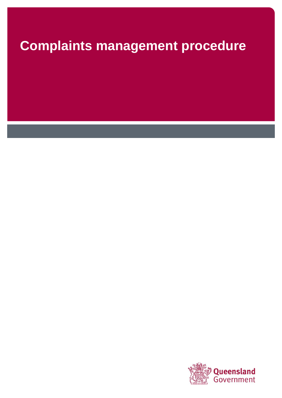# **Complaints management procedure**

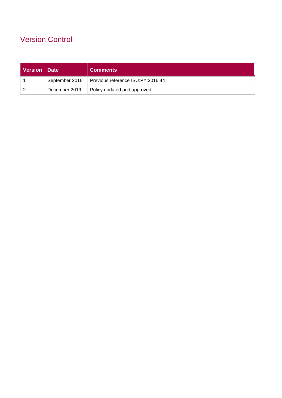# Version Control

| Version   Date |                | <b>Comments</b>                   |
|----------------|----------------|-----------------------------------|
|                | September 2016 | Previous reference ISU:PY:2016:44 |
|                | December 2019  | Policy updated and approved       |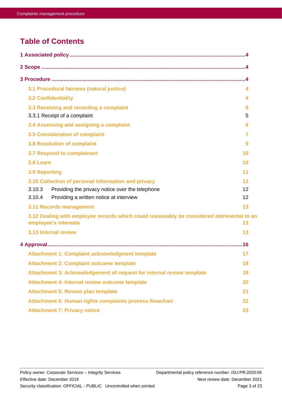# **Table of Contents**

<span id="page-2-0"></span>

| 3.1 Procedural fairness (natural justice)                                                                         | 4      |  |
|-------------------------------------------------------------------------------------------------------------------|--------|--|
| <b>3.2 Confidentiality</b>                                                                                        | 4      |  |
| 3.3 Receiving and recording a complaint<br>3.3.1 Receipt of a complaint                                           | 5<br>5 |  |
| 3.4 Assessing and assigning a complaint                                                                           | 6      |  |
| 3.5 Consideration of complaint                                                                                    | 7      |  |
| <b>3.6 Resolution of complaint</b>                                                                                | 9      |  |
| 3.7 Respond to complainant                                                                                        | 10     |  |
| 3.8 Learn                                                                                                         | 10     |  |
| <b>3.9 Reporting</b>                                                                                              | 11     |  |
| 3.10 Collection of personal information and privacy                                                               | 12     |  |
| 3.10.3<br>Providing the privacy notice over the telephone                                                         | 12     |  |
| 3.10.4<br>Providing a written notice at interview                                                                 | 12     |  |
| 3.11 Records management                                                                                           | 13     |  |
| 3.12 Dealing with employee records which could reasonably be considered detrimental to an<br>employee's interests | 13     |  |
| 3.13 Internal review                                                                                              | 13     |  |
|                                                                                                                   |        |  |
| Attachment 1: Complaint acknowledgment template                                                                   | 17     |  |
| <b>Attachment 2: Complaint outcome template</b>                                                                   | 18     |  |
| Attachment 3: Acknowledgement of request for internal review template                                             | 19     |  |
| Attachment 4: Internal review outcome template                                                                    | 20     |  |
| <b>Attachment 5: Review plan template</b>                                                                         | 21     |  |
| Attachment 6: Human rights complaints process flowchart                                                           | 22     |  |
| <b>Attachment 7: Privacy notice</b>                                                                               | 23     |  |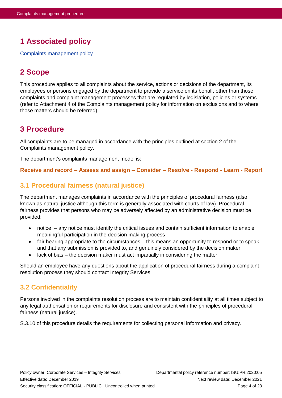# **1 Associated policy**

<span id="page-3-0"></span>[Complaints management policy](https://hpwqld.sharepoint.com/sites/intranet/ResourceCentre/PoliciesProcedures/Pages/Integrity.aspx)

# **2 Scope**

This procedure applies to all complaints about the service, actions or decisions of the department, its employees or persons engaged by the department to provide a service on its behalf, other than those complaints and complaint management processes that are regulated by legislation, policies or systems (refer to Attachment 4 of the Complaints management policy for information on exclusions and to where those matters should be referred).

# <span id="page-3-1"></span>**3 Procedure**

All complaints are to be managed in accordance with the principles outlined at section 2 of the Complaints management policy.

The department's complaints management model is:

#### **Receive and record – Assess and assign – Consider – Resolve - Respond - Learn - Report**

# <span id="page-3-2"></span>**3.1 Procedural fairness (natural justice)**

The department manages complaints in accordance with the principles of procedural fairness (also known as natural justice although this term is generally associated with courts of law). Procedural fairness provides that persons who may be adversely affected by an administrative decision must be provided:

- notice any notice must identify the critical issues and contain sufficient information to enable meaningful participation in the decision making process
- fair hearing appropriate to the circumstances this means an opportunity to respond or to speak and that any submission is provided to, and genuinely considered by the decision maker
- lack of bias the decision maker must act impartially in considering the matter

Should an employee have any questions about the application of procedural fairness during a complaint resolution process they should contact Integrity Services.

## <span id="page-3-3"></span>**3.2 Confidentiality**

Persons involved in the complaints resolution process are to maintain confidentiality at all times subject to any legal authorisation or requirements for disclosure and consistent with the principles of procedural fairness (natural justice).

S.3.10 of this procedure details the requirements for collecting personal information and privacy.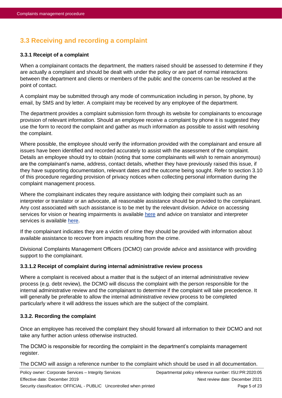# <span id="page-4-0"></span>**3.3 Receiving and recording a complaint**

#### <span id="page-4-1"></span>**3.3.1 Receipt of a complaint**

When a complainant contacts the department, the matters raised should be assessed to determine if they are actually a complaint and should be dealt with under the policy or are part of normal interactions between the department and clients or members of the public and the concerns can be resolved at the point of contact.

A complaint may be submitted through any mode of communication including in person, by phone, by email, by SMS and by letter. A complaint may be received by any employee of the department.

The department provides a complaint submission form through its website for complainants to encourage provision of relevant information. Should an employee receive a complaint by phone it is suggested they use the form to record the complaint and gather as much information as possible to assist with resolving the complaint.

Where possible, the employee should verify the information provided with the complainant and ensure all issues have been identified and recorded accurately to assist with the assessment of the complaint. Details an employee should try to obtain (noting that some complainants will wish to remain anonymous) are the complainant's name, address, contact details, whether they have previously raised this issue, if they have supporting documentation, relevant dates and the outcome being sought. Refer to section 3.10 of this procedure regarding provision of privacy notices when collecting personal information during the complaint management process.

Where the complainant indicates they require assistance with lodging their complaint such as an interpreter or translator or an advocate, all reasonable assistance should be provided to the complainant. Any cost associated with such assistance is to be met by the relevant division. Advice on accessing services for vision or hearing impairments is available [here](https://hpwqld.sharepoint.com/sites/intranet/AboutUs/Culture/InclusionDiversity/Pages/AllAbilities.aspx) and advice on translator and interpreter services is available [here.](https://www.forgov.qld.gov.au/find-translator-or-interpreter)

If the complainant indicates they are a victim of crime they should be provided with information about available assistance to recover from impacts resulting from the crime.

Divisional Complaints Management Officers (DCMO) can provide advice and assistance with providing support to the complainant.

#### **3.3.1.2 Receipt of complaint during internal administrative review process**

Where a complaint is received about a matter that is the subject of an internal administrative review process (e.g. debt review), the DCMO will discuss the complaint with the person responsible for the internal administrative review and the complainant to determine if the complaint will take precedence. It will generally be preferable to allow the internal administrative review process to be completed particularly where it will address the issues which are the subject of the complaint.

#### **3.3.2. Recording the complaint**

Once an employee has received the complaint they should forward all information to their DCMO and not take any further action unless otherwise instructed.

The DCMO is responsible for recording the complaint in the department's complaints management register.

The DCMO will assign a reference number to the complaint which should be used in all documentation.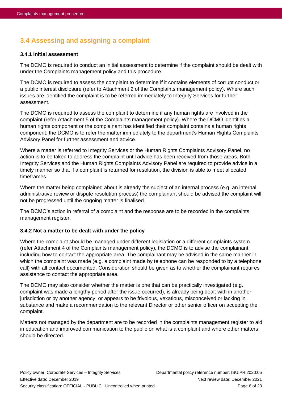# <span id="page-5-0"></span>**3.4 Assessing and assigning a complaint**

#### **3.4.1 Initial assessment**

The DCMO is required to conduct an initial assessment to determine if the complaint should be dealt with under the Complaints management policy and this procedure.

The DCMO is required to assess the complaint to determine if it contains elements of corrupt conduct or a public interest disclosure (refer to Attachment 2 of the Complaints management policy). Where such issues are identified the complaint is to be referred immediately to Integrity Services for further assessment.

The DCMO is required to assess the complaint to determine if any human rights are involved in the complaint (refer Attachment 5 of the Complaints management policy). Where the DCMO identifies a human rights component or the complainant has identified their complaint contains a human rights component, the DCMO is to refer the matter immediately to the department's Human Rights Complaints Advisory Panel for further assessment and advice.

Where a matter is referred to Integrity Services or the Human Rights Complaints Advisory Panel, no action is to be taken to address the complaint until advice has been received from those areas. Both Integrity Services and the Human Rights Complaints Advisory Panel are required to provide advice in a timely manner so that if a complaint is returned for resolution, the division is able to meet allocated timeframes.

Where the matter being complained about is already the subject of an internal process (e.g. an internal administrative review or dispute resolution process) the complainant should be advised the complaint will not be progressed until the ongoing matter is finalised.

The DCMO's action in referral of a complaint and the response are to be recorded in the complaints management register.

#### **3.4.2 Not a matter to be dealt with under the policy**

Where the complaint should be managed under different legislation or a different complaints system (refer Attachment 4 of the Complaints management policy), the DCMO is to advise the complainant including how to contact the appropriate area. The complainant may be advised in the same manner in which the complaint was made (e.g. a complaint made by telephone can be responded to by a telephone call) with all contact documented. Consideration should be given as to whether the complainant requires assistance to contact the appropriate area.

The DCMO may also consider whether the matter is one that can be practically investigated (e.g. complaint was made a lengthy period after the issue occurred), is already being dealt with in another jurisdiction or by another agency, or appears to be frivolous, vexatious, misconceived or lacking in substance and make a recommendation to the relevant Director or other senior officer on accepting the complaint.

Matters not managed by the department are to be recorded in the complaints management register to aid in education and improved communication to the public on what is a complaint and where other matters should be directed.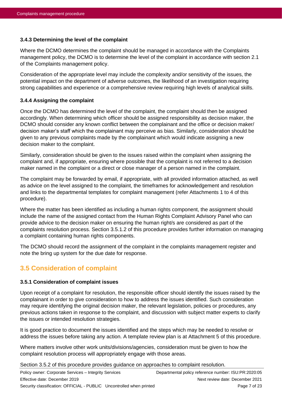#### **3.4.3 Determining the level of the complaint**

Where the DCMO determines the complaint should be managed in accordance with the Complaints management policy, the DCMO is to determine the level of the complaint in accordance with section 2.1 of the Complaints management policy.

Consideration of the appropriate level may include the complexity and/or sensitivity of the issues, the potential impact on the department of adverse outcomes, the likelihood of an investigation requiring strong capabilities and experience or a comprehensive review requiring high levels of analytical skills.

#### **3.4.4 Assigning the complaint**

Once the DCMO has determined the level of the complaint, the complaint should then be assigned accordingly. When determining which officer should be assigned responsibility as decision maker, the DCMO should consider any known conflict between the complainant and the office or decision maker/ decision maker's staff which the complainant may perceive as bias. Similarly, consideration should be given to any previous complaints made by the complainant which would indicate assigning a new decision maker to the complaint.

Similarly, consideration should be given to the issues raised within the complaint when assigning the complaint and, if appropriate, ensuring where possible that the complaint is not referred to a decision maker named in the complaint or a direct or close manager of a person named in the complaint.

The complaint may be forwarded by email, if appropriate, with all provided information attached, as well as advice on the level assigned to the complaint, the timeframes for acknowledgement and resolution and links to the departmental templates for complaint management (refer Attachments 1 to 4 of this procedure).

Where the matter has been identified as including a human rights component, the assignment should include the name of the assigned contact from the Human Rights Complaint Advisory Panel who can provide advice to the decision maker on ensuring the human right/s are considered as part of the complaints resolution process. Section 3.5.1.2 of this procedure provides further information on managing a complaint containing human rights components.

The DCMO should record the assignment of the complaint in the complaints management register and note the bring up system for the due date for response.

## <span id="page-6-0"></span>**3.5 Consideration of complaint**

#### **3.5.1 Consideration of complaint issues**

Upon receipt of a complaint for resolution, the responsible officer should identify the issues raised by the complainant in order to give consideration to how to address the issues identified. Such consideration may require identifying the original decision maker, the relevant legislation, policies or procedures, any previous actions taken in response to the complaint, and discussion with subject matter experts to clarify the issues or intended resolution strategies.

It is good practice to document the issues identified and the steps which may be needed to resolve or address the issues before taking any action. A template review plan is at Attachment 5 of this procedure.

Where matters involve other work units/divisions/agencies, consideration must be given to how the complaint resolution process will appropriately engage with those areas.

Section 3.5.2 of this procedure provides guidance on approaches to complaint resolution.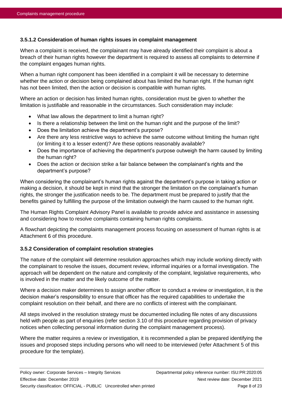#### **3.5.1.2 Consideration of human rights issues in complaint management**

When a complaint is received, the complainant may have already identified their complaint is about a breach of their human rights however the department is required to assess all complaints to determine if the complaint engages human rights.

When a human right component has been identified in a complaint it will be necessary to determine whether the action or decision being complained about has limited the human right. If the human right has not been limited, then the action or decision is compatible with human rights.

Where an action or decision has limited human rights, consideration must be given to whether the limitation is justifiable and reasonable in the circumstances. Such consideration may include:

- What law allows the department to limit a human right?
- Is there a relationship between the limit on the human right and the purpose of the limit?
- Does the limitation achieve the department's purpose?
- Are there any less restrictive ways to achieve the same outcome without limiting the human right (or limiting it to a lesser extent)? Are these options reasonably available?
- Does the importance of achieving the department's purpose outweigh the harm caused by limiting the human right?
- Does the action or decision strike a fair balance between the complainant's rights and the department's purpose?

When considering the complainant's human rights against the department's purpose in taking action or making a decision, it should be kept in mind that the stronger the limitation on the complainant's human rights, the stronger the justification needs to be. The department must be prepared to justify that the benefits gained by fulfilling the purpose of the limitation outweigh the harm caused to the human right.

The Human Rights Complaint Advisory Panel is available to provide advice and assistance in assessing and considering how to resolve complaints containing human rights complaints.

A flowchart depicting the complaints management process focusing on assessment of human rights is at Attachment 6 of this procedure.

#### **3.5.2 Consideration of complaint resolution strategies**

The nature of the complaint will determine resolution approaches which may include working directly with the complainant to resolve the issues, document review, informal inquiries or a formal investigation. The approach will be dependent on the nature and complexity of the complaint, legislative requirements, who is involved in the matter and the likely outcome of the matter.

Where a decision maker determines to assign another officer to conduct a review or investigation, it is the decision maker's responsibility to ensure that officer has the required capabilities to undertake the complaint resolution on their behalf, and there are no conflicts of interest with the complainant.

All steps involved in the resolution strategy must be documented including file notes of any discussions held with people as part of enquiries (refer section 3.10 of this procedure regarding provision of privacy notices when collecting personal information during the complaint management process).

Where the matter requires a review or investigation, it is recommended a plan be prepared identifying the issues and proposed steps including persons who will need to be interviewed (refer Attachment 5 of this procedure for the template).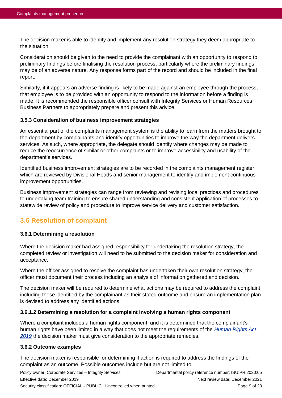The decision maker is able to identify and implement any resolution strategy they deem appropriate to the situation.

Consideration should be given to the need to provide the complainant with an opportunity to respond to preliminary findings before finalising the resolution process, particularly where the preliminary findings may be of an adverse nature. Any response forms part of the record and should be included in the final report.

Similarly, if it appears an adverse finding is likely to be made against an employee through the process, that employee is to be provided with an opportunity to respond to the information before a finding is made. It is recommended the responsible officer consult with Integrity Services or Human Resources Business Partners to appropriately prepare and present this advice.

#### **3.5.3 Consideration of business improvement strategies**

An essential part of the complaints management system is the ability to learn from the matters brought to the department by complainants and identify opportunities to improve the way the department delivers services. As such, where appropriate, the delegate should identify where changes may be made to reduce the reoccurrence of similar or other complaints or to improve accessibility and usability of the department's services.

Identified business improvement strategies are to be recorded in the complaints management register which are reviewed by Divisional Heads and senior management to identify and implement continuous improvement opportunities.

Business improvement strategies can range from reviewing and revising local practices and procedures to undertaking team training to ensure shared understanding and consistent application of processes to statewide review of policy and procedure to improve service delivery and customer satisfaction.

# <span id="page-8-0"></span>**3.6 Resolution of complaint**

#### **3.6.1 Determining a resolution**

Where the decision maker had assigned responsibility for undertaking the resolution strategy, the completed review or investigation will need to be submitted to the decision maker for consideration and acceptance.

Where the officer assigned to resolve the complaint has undertaken their own resolution strategy, the officer must document their process including an analysis of information gathered and decision.

The decision maker will be required to determine what actions may be required to address the complaint including those identified by the complainant as their stated outcome and ensure an implementation plan is devised to address any identified actions.

#### **3.6.1.2 Determining a resolution for a complaint involving a human rights component**

Where a complaint includes a human rights component, and it is determined that the complainant's human rights have been limited in a way that does not meet the requirements of the *[Human Rights Act](https://www.legislation.qld.gov.au/view/html/inforce/current/act-2019-005)  [2019](https://www.legislation.qld.gov.au/view/html/inforce/current/act-2019-005)* the decision maker must give consideration to the appropriate remedies.

#### **3.6.2 Outcome examples**

The decision maker is responsible for determining if action is required to address the findings of the complaint as an outcome. Possible outcomes include but are not limited to: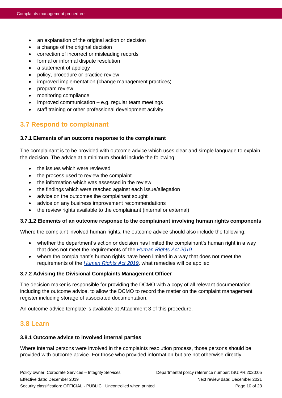- an explanation of the original action or decision
- a change of the original decision
- correction of incorrect or misleading records
- formal or informal dispute resolution
- a statement of apology
- policy, procedure or practice review
- improved implementation (change management practices)
- program review
- monitoring compliance
- improved communication e.g. regular team meetings
- staff training or other professional development activity.

# <span id="page-9-0"></span>**3.7 Respond to complainant**

#### **3.7.1 Elements of an outcome response to the complainant**

The complainant is to be provided with outcome advice which uses clear and simple language to explain the decision. The advice at a minimum should include the following:

- the issues which were reviewed
- the process used to review the complaint
- the information which was assessed in the review
- the findings which were reached against each issue/allegation
- advice on the outcomes the complainant sought
- advice on any business improvement recommendations
- the review rights available to the complainant (internal or external)

#### **3.7.1.2 Elements of an outcome response to the complainant involving human rights components**

Where the complaint involved human rights, the outcome advice should also include the following:

- whether the department's action or decision has limited the complainant's human right in a way that does not meet the requirements of the *[Human Rights Act 2019](https://www.legislation.qld.gov.au/view/html/inforce/current/act-2019-005)*
- where the complainant's human rights have been limited in a way that does not meet the requirements of the *[Human Rights Act 2019](https://www.legislation.qld.gov.au/view/html/inforce/current/act-2019-005)*, what remedies will be applied

#### **3.7.2 Advising the Divisional Complaints Management Officer**

The decision maker is responsible for providing the DCMO with a copy of all relevant documentation including the outcome advice, to allow the DCMO to record the matter on the complaint management register including storage of associated documentation.

An outcome advice template is available at Attachment 3 of this procedure.

### <span id="page-9-1"></span>**3.8 Learn**

#### **3.8.1 Outcome advice to involved internal parties**

Where internal persons were involved in the complaints resolution process, those persons should be provided with outcome advice. For those who provided information but are not otherwise directly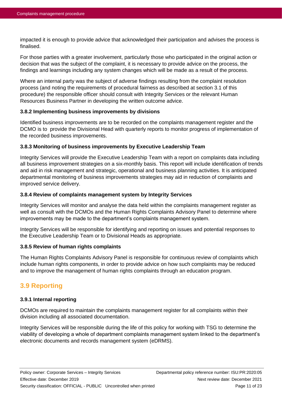impacted it is enough to provide advice that acknowledged their participation and advises the process is finalised.

For those parties with a greater involvement, particularly those who participated in the original action or decision that was the subject of the complaint, it is necessary to provide advice on the process, the findings and learnings including any system changes which will be made as a result of the process.

Where an internal party was the subject of adverse findings resulting from the complaint resolution process (and noting the requirements of procedural fairness as described at section 3.1 of this procedure) the responsible officer should consult with Integrity Services or the relevant Human Resources Business Partner in developing the written outcome advice.

#### **3.8.2 Implementing business improvements by divisions**

Identified business improvements are to be recorded on the complaints management register and the DCMO is to provide the Divisional Head with quarterly reports to monitor progress of implementation of the recorded business improvements.

#### **3.8.3 Monitoring of business improvements by Executive Leadership Team**

Integrity Services will provide the Executive Leadership Team with a report on complaints data including all business improvement strategies on a six-monthly basis. This report will include identification of trends and aid in risk management and strategic, operational and business planning activities. It is anticipated departmental monitoring of business improvements strategies may aid in reduction of complaints and improved service delivery.

#### **3.8.4 Review of complaints management system by Integrity Services**

Integrity Services will monitor and analyse the data held within the complaints management register as well as consult with the DCMOs and the Human Rights Complaints Advisory Panel to determine where improvements may be made to the department's complaints management system.

Integrity Services will be responsible for identifying and reporting on issues and potential responses to the Executive Leadership Team or to Divisional Heads as appropriate.

#### **3.8.5 Review of human rights complaints**

The Human Rights Complaints Advisory Panel is responsible for continuous review of complaints which include human rights components, in order to provide advice on how such complaints may be reduced and to improve the management of human rights complaints through an education program.

# <span id="page-10-0"></span>**3.9 Reporting**

#### **3.9.1 Internal reporting**

DCMOs are required to maintain the complaints management register for all complaints within their division including all associated documentation.

Integrity Services will be responsible during the life of this policy for working with TSG to determine the viability of developing a whole of department complaints management system linked to the department's electronic documents and records management system (eDRMS).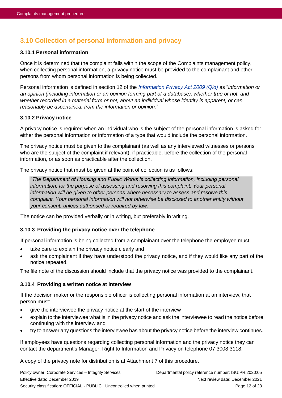# <span id="page-11-0"></span>**3.10 Collection of personal information and privacy**

#### **3.10.1 Personal information**

Once it is determined that the complaint falls within the scope of the Complaints management policy, when collecting personal information, a privacy notice must be provided to the complainant and other persons from whom personal information is being collected.

Personal information is defined in section 12 of the *[Information Privacy Act 2009 \(Qld\)](https://www.legislation.qld.gov.au/LEGISLTN/CURRENT/I/InfoPrivA09.pdf)* as "*information or an opinion (including information or an opinion forming part of a database), whether true or not, and whether recorded in a material form or not, about an individual whose identity is apparent, or can reasonably be ascertained, from the information or opinion.*"

#### **3.10.2 Privacy notice**

A privacy notice is required when an individual who is the subject of the personal information is asked for either the personal information or information of a type that would include the personal information.

The privacy notice must be given to the complainant (as well as any interviewed witnesses or persons who are the subject of the complaint if relevant), if practicable, before the collection of the personal information, or as soon as practicable after the collection.

The privacy notice that must be given at the point of collection is as follows:

*"The Department of Housing and Public Works is collecting information, including personal information, for the purpose of assessing and resolving this complaint. Your personal information will be given to other persons where necessary to assess and resolve this complaint. Your personal information will not otherwise be disclosed to another entity without your consent, unless authorised or required by law."*

The notice can be provided verbally or in writing, but preferably in writing.

#### <span id="page-11-1"></span>**3.10.3 Providing the privacy notice over the telephone**

If personal information is being collected from a complainant over the telephone the employee must:

- take care to explain the privacy notice clearly and
- ask the complainant if they have understood the privacy notice, and if they would like any part of the notice repeated.

The file note of the discussion should include that the privacy notice was provided to the complainant.

#### <span id="page-11-2"></span>**3.10.4 Providing a written notice at interview**

If the decision maker or the responsible officer is collecting personal information at an interview, that person must:

- give the interviewee the privacy notice at the start of the interview
- explain to the interviewee what is in the privacy notice and ask the interviewee to read the notice before continuing with the interview and
- try to answer any questions the interviewee has about the privacy notice before the interview continues.

If employees have questions regarding collecting personal information and the privacy notice they can contact the department's Manager, Right to Information and Privacy on telephone 07 3008 3118.

A copy of the privacy note for distribution is at Attachment 7 of this procedure.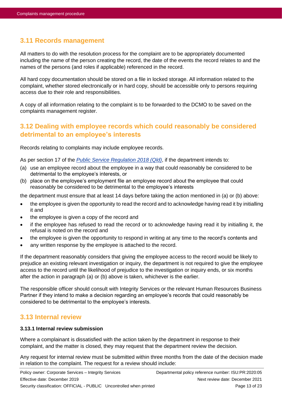# <span id="page-12-0"></span>**3.11 Records management**

All matters to do with the resolution process for the complaint are to be appropriately documented including the name of the person creating the record, the date of the events the record relates to and the names of the persons (and roles if applicable) referenced in the record.

All hard copy documentation should be stored on a file in locked storage. All information related to the complaint, whether stored electronically or in hard copy, should be accessible only to persons requiring access due to their role and responsibilities.

A copy of all information relating to the complaint is to be forwarded to the DCMO to be saved on the complaints management register.

# <span id="page-12-1"></span>**3.12 Dealing with employee records which could reasonably be considered detrimental to an employee's interests**

Records relating to complaints may include employee records.

As per section 17 of the *[Public Service Regulation 2018 \(Qld\)](https://www.legislation.qld.gov.au/LEGISLTN/CURRENT/P/PublicServR08.pdf)*, if the department intends to:

- (a) use an employee record about the employee in a way that could reasonably be considered to be detrimental to the employee's interests, or
- (b) place on the employee's employment file an employee record about the employee that could reasonably be considered to be detrimental to the employee's interests

the department must ensure that at least 14 days before taking the action mentioned in (a) or (b) above:

- the employee is given the opportunity to read the record and to acknowledge having read it by initialling it and
- the employee is given a copy of the record and
- if the employee has refused to read the record or to acknowledge having read it by initialling it, the refusal is noted on the record and
- the employee is given the opportunity to respond in writing at any time to the record's contents and
- any written response by the employee is attached to the record.

If the department reasonably considers that giving the employee access to the record would be likely to prejudice an existing relevant investigation or inquiry, the department is not required to give the employee access to the record until the likelihood of prejudice to the investigation or inquiry ends, or six months after the action in paragraph (a) or (b) above is taken, whichever is the earlier.

The responsible officer should consult with Integrity Services or the relevant Human Resources Business Partner if they intend to make a decision regarding an employee's records that could reasonably be considered to be detrimental to the employee's interests.

### <span id="page-12-2"></span>**3.13 Internal review**

#### **3.13.1 Internal review submission**

Where a complainant is dissatisfied with the action taken by the department in response to their complaint, and the matter is closed, they may request that the department review the decision.

Any request for internal review must be submitted within three months from the date of the decision made in relation to the complaint. The request for a review should include: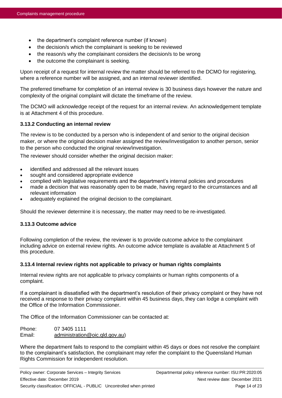- the department's complaint reference number (if known)
- the decision/s which the complainant is seeking to be reviewed
- the reason/s why the complainant considers the decision/s to be wrong
- the outcome the complainant is seeking.

Upon receipt of a request for internal review the matter should be referred to the DCMO for registering, where a reference number will be assigned, and an internal reviewer identified.

The preferred timeframe for completion of an internal review is 30 business days however the nature and complexity of the original complaint will dictate the timeframe of the review.

The DCMO will acknowledge receipt of the request for an internal review. An acknowledgement template is at Attachment 4 of this procedure.

#### **3.13.2 Conducting an internal review**

The review is to be conducted by a person who is independent of and senior to the original decision maker, or where the original decision maker assigned the review/investigation to another person, senior to the person who conducted the original review/investigation.

The reviewer should consider whether the original decision maker:

- identified and addressed all the relevant issues
- sought and considered appropriate evidence
- complied with legislative requirements and the department's internal policies and procedures
- made a decision that was reasonably open to be made, having regard to the circumstances and all relevant information
- adequately explained the original decision to the complainant.

Should the reviewer determine it is necessary, the matter may need to be re-investigated.

#### **3.13.3 Outcome advice**

Following completion of the review, the reviewer is to provide outcome advice to the complainant including advice on external review rights. An outcome advice template is available at Attachment 5 of this procedure.

#### **3.13.4 Internal review rights not applicable to privacy or human rights complaints**

Internal review rights are not applicable to privacy complaints or human rights components of a complaint.

If a complainant is dissatisfied with the department's resolution of their privacy complaint or they have not received a response to their privacy complaint within 45 business days, they can lodge a complaint with the Office of the Information Commissioner.

The Office of the Information Commissioner can be contacted at:

Phone: 07 3405 1111 Email: [administration@oic.qld.gov.au\)](mailto:administration@oic.qld.gov.au)

Where the department fails to respond to the complaint within 45 days or does not resolve the complaint to the complainant's satisfaction, the complainant may refer the complaint to the Queensland Human Rights Commission for independent resolution.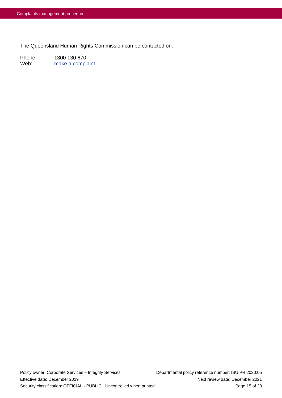The Queensland Human Rights Commission can be contacted on:

Phone: 1300 130 670 Web: [make a complaint](https://www.qhrc.qld.gov.au/complaints)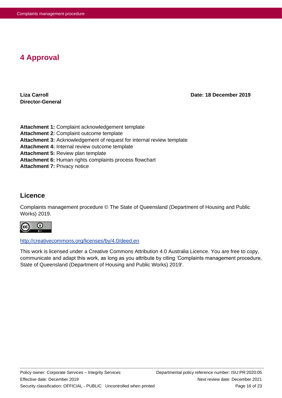# <span id="page-15-0"></span>**4 Approval**

**Director-General**

**Liza Carroll Date: 18 December 2019**

**Attachment 1:** Complaint acknowledgement template **Attachment 2:** Complaint outcome template **Attachment 3:** Acknowledgement of request for internal review template **Attachment 4:** Internal review outcome template **Attachment 5:** Review plan template **Attachment 6:** Human rights complaints process flowchart **Attachment 7: Privacy notice** 

### **Licence**

Complaints management procedure © The State of Queensland (Department of Housing and Public Works) 2019.



<http://creativecommons.org/licenses/by/4.0/deed.en>

This work is licensed under a Creative Commons Attribution 4.0 Australia Licence. You are free to copy, communicate and adapt this work, as long as you attribute by citing 'Complaints management procedure, State of Queensland (Department of Housing and Public Works) 2019'.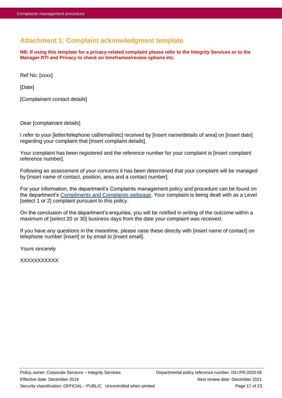# <span id="page-16-0"></span>**Attachment 1: Complaint acknowledgment template**

**NB: If using this template for a privacy-related complaint please refer to the Integrity Services or to the Manager RTI and Privacy to check on timeframes/review options etc.**

Ref No: [xxxx]

[Date]

[Complainant contact details]

Dear [complainant details]

I refer to your [letter/telephone call/email/etc] received by [insert name/details of area] on [insert date] regarding your complaint that [insert complaint details].

Your complaint has been registered and the reference number for your complaint is [insert complaint reference number].

Following an assessment of your concerns it has been determined that your complaint will be managed by [insert name of contact, position, area and a contact number].

For your information, the department's Complaints management policy and procedure can be found on the department's [Compliments and Complaints webpage.](https://www.hpw.qld.gov.au/contact/complaints-compliments) Your complaint is being dealt with as a Level [select 1 or 2] complaint pursuant to this policy.

On the conclusion of the department's enquiries, you will be notified in writing of the outcome within a maximum of [select 20 or 30] business days from the date your complaint was received.

If you have any questions in the meantime, please raise these directly with [insert name of contact] on telephone number [insert] or by email to [insert email].

Yours sincerely

**XXXXXXXXX**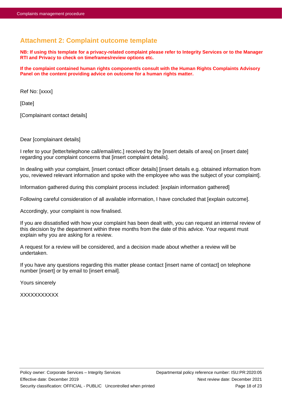# <span id="page-17-0"></span>**Attachment 2: Complaint outcome template**

**NB: If using this template for a privacy-related complaint please refer to Integrity Services or to the Manager RTI and Privacy to check on timeframes/review options etc.**

**If the complaint contained human rights component/s consult with the Human Rights Complaints Advisory Panel on the content providing advice on outcome for a human rights matter.**

Ref No: [xxxx]

[Date]

[Complainant contact details]

Dear [complainant details]

I refer to your [letter/telephone call/email/etc.] received by the [insert details of area] on [insert date] regarding your complaint concerns that [insert complaint details].

In dealing with your complaint, [insert contact officer details] [insert details e.g. obtained information from you, reviewed relevant information and spoke with the employee who was the subject of your complaint].

Information gathered during this complaint process included: [explain information gathered]

Following careful consideration of all available information, I have concluded that [explain outcome].

Accordingly, your complaint is now finalised.

If you are dissatisfied with how your complaint has been dealt with, you can request an internal review of this decision by the department within three months from the date of this advice. Your request must explain why you are asking for a review.

A request for a review will be considered, and a decision made about whether a review will be undertaken.

If you have any questions regarding this matter please contact [insert name of contact] on telephone number [insert] or by email to [insert email].

Yours sincerely

XXXXXXXXXXX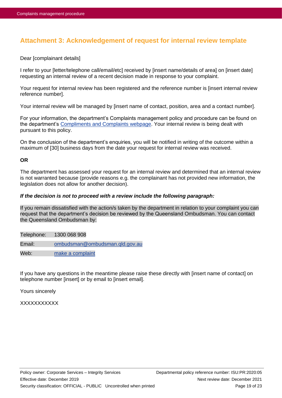# <span id="page-18-0"></span>**Attachment 3: Acknowledgement of request for internal review template**

Dear [complainant details]

I refer to your [letter/telephone call/email/etc] received by [insert name/details of area] on [insert date] requesting an internal review of a recent decision made in response to your complaint.

Your request for internal review has been registered and the reference number is [insert internal review reference number].

Your internal review will be managed by [insert name of contact, position, area and a contact number].

For your information, the department's Complaints management policy and procedure can be found on the department's [Compliments and Complaints webpage.](https://www.hpw.qld.gov.au/contact/complaints-compliments) Your internal review is being dealt with pursuant to this policy.

On the conclusion of the department's enquiries, you will be notified in writing of the outcome within a maximum of [30] business days from the date your request for internal review was received.

#### **OR**

The department has assessed your request for an internal review and determined that an internal review is not warranted because (provide reasons e.g. the complainant has not provided new information, the legislation does not allow for another decision).

#### *If the decision is not to proceed with a review include the following paragraph:*

If you remain dissatisfied with the action/s taken by the department in relation to your complaint you can request that the department's decision be reviewed by the Queensland Ombudsman. You can contact the Queensland Ombudsman by:

Telephone: 1300 068 908

Email: [ombudsman@ombudsman.qld.gov.au](mailto:ombudsman@ombudsman.qld.gov.au)

Web: [make a complaint](https://www.ombudsman.qld.gov.au/make-a-complaint/makecomplaint)

If you have any questions in the meantime please raise these directly with [insert name of contact] on telephone number [insert] or by email to [insert email].

Yours sincerely

**XXXXXXXXXX**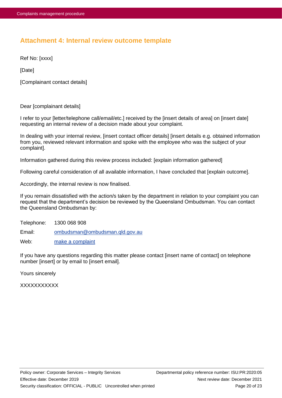# <span id="page-19-0"></span>**Attachment 4: Internal review outcome template**

Ref No: [xxxx]

[Date]

[Complainant contact details]

Dear [complainant details]

I refer to your [letter/telephone call/email/etc.] received by the [insert details of area] on [insert date] requesting an internal review of a decision made about your complaint.

In dealing with your internal review, [insert contact officer details] [insert details e.g. obtained information from you, reviewed relevant information and spoke with the employee who was the subject of your complaint].

Information gathered during this review process included: [explain information gathered]

Following careful consideration of all available information, I have concluded that [explain outcome].

Accordingly, the internal review is now finalised.

If you remain dissatisfied with the action/s taken by the department in relation to your complaint you can request that the department's decision be reviewed by the Queensland Ombudsman. You can contact the Queensland Ombudsman by:

Telephone: 1300 068 908

Email: [ombudsman@ombudsman.qld.gov.au](mailto:ombudsman@ombudsman.qld.gov.au)

Web: [make a complaint](https://www.ombudsman.qld.gov.au/make-a-complaint/makecomplaint)

If you have any questions regarding this matter please contact [insert name of contact] on telephone number [insert] or by email to [insert email].

Yours sincerely

XXXXXXXXXXX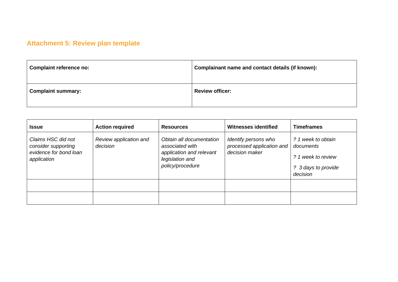# **Attachment 5: Review plan template**

| <b>Complaint reference no:</b> | Complainant name and contact details (if known): |
|--------------------------------|--------------------------------------------------|
| <b>Complaint summary:</b>      | <b>Review officer:</b>                           |

<span id="page-20-0"></span>

| <b>Issue</b>                                                                       | <b>Action required</b>             | <b>Resources</b>                                                                                               | <b>Witnesses identified</b>                                         | <b>Timeframes</b>                                                                        |
|------------------------------------------------------------------------------------|------------------------------------|----------------------------------------------------------------------------------------------------------------|---------------------------------------------------------------------|------------------------------------------------------------------------------------------|
| Claims HSC did not<br>consider supporting<br>evidence for bond loan<br>application | Review application and<br>decision | Obtain all documentation<br>associated with<br>application and relevant<br>legislation and<br>policy/procedure | Identify persons who<br>processed application and<br>decision maker | ? 1 week to obtain<br>documents<br>? 1 week to review<br>? 3 days to provide<br>decision |
|                                                                                    |                                    |                                                                                                                |                                                                     |                                                                                          |
|                                                                                    |                                    |                                                                                                                |                                                                     |                                                                                          |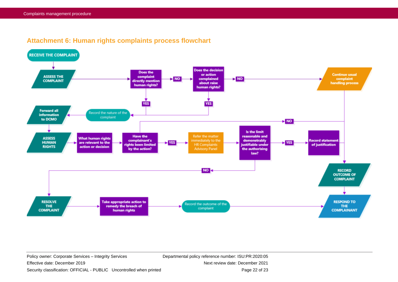

# **Attachment 6: Human rights complaints process flowchart**

Effective date: December 2019 Next review date: December 2021 Security classification: OFFICIAL - PUBLIC Uncontrolled when printed Page 22 of 23

<span id="page-21-0"></span>Policy owner: Corporate Services – Integrity Services Departmental policy reference number: ISU:PR:2020:05